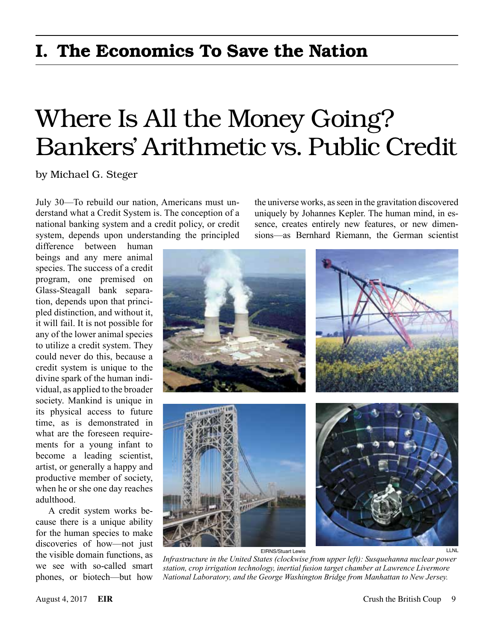## I. The Economics To Save the Nation

# Where Is All the Money Going? Bankers' Arithmetic vs. Public Credit

by Michael G. Steger

July 30—To rebuild our nation, Americans must understand what a Credit System is. The conception of a national banking system and a credit policy, or credit system, depends upon understanding the principled

difference between human beings and any mere animal species. The success of a credit program, one premised on Glass-Steagall bank separation, depends upon that principled distinction, and without it, it will fail. It is not possible for any of the lower animal species to utilize a credit system. They could never do this, because a credit system is unique to the divine spark of the human individual, as applied to the broader society. Mankind is unique in its physical access to future time, as is demonstrated in what are the foreseen requirements for a young infant to become a leading scientist, artist, or generally a happy and productive member of society, when he or she one day reaches adulthood.

A credit system works because there is a unique ability for the human species to make discoveries of how—not just the visible domain functions, as we see with so-called smart phones, or biotech—but how

the universe works, as seen in the gravitation discovered uniquely by Johannes Kepler. The human mind, in essence, creates entirely new features, or new dimensions—as Bernhard Riemann, the German scientist



*Infrastructure in the United States (clockwise from upper left): Susquehanna nuclear power station, crop irrigation technology, inertial fusion target chamber at Lawrence Livermore National Laboratory, and the George Washington Bridge from Manhattan to New Jersey.*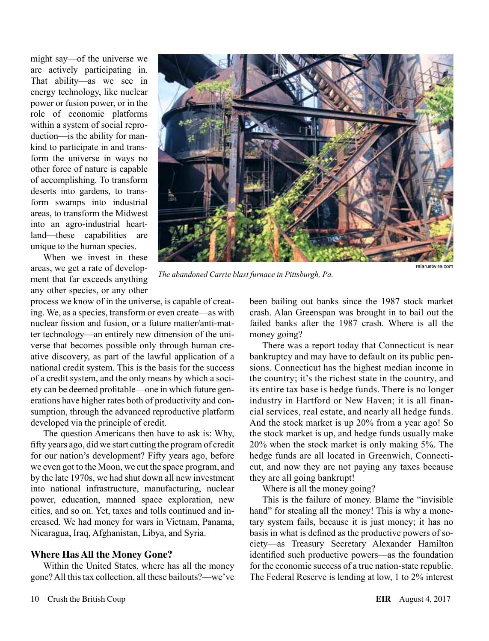might say—of the universe we are actively participating in. That ability—as we see in energy technology, like nuclear power or fusion power, or in the role of economic platforms within a system of social reproduction—is the ability for mankind to participate in and transform the universe in ways no other force of nature is capable of accomplishing. To transform deserts into gardens, to transform swamps into industrial areas, to transform the Midwest into an agro-industrial heartland—these capabilities are unique to the human species.

When we invest in these areas, we get a rate of development that far exceeds anything any other species, or any other

process we know of in the universe, is capable of creating. We, as a species, transform or even create—as with nuclear fission and fusion, or a future matter/anti-matter technology—an entirely new dimension of the universe that becomes possible only through human creative discovery, as part of the lawful application of a national credit system. This is the basis for the success of a credit system, and the only means by which a society can be deemed profitable—one in which future generations have higher rates both of productivity and consumption, through the advanced reproductive platform developed via the principle of credit.

The question Americans then have to ask is: Why, fifty years ago, did we start cutting the program of credit for our nation's development? Fifty years ago, before we even got to the Moon, we cut the space program, and by the late 1970s, we had shut down all new investment into national infrastructure, manufacturing, nuclear power, education, manned space exploration, new cities, and so on. Yet, taxes and tolls continued and increased. We had money for wars in Vietnam, Panama, Nicaragua, Iraq, Afghanistan, Libya, and Syria.

#### **Where Has All the Money Gone?**

Within the United States, where has all the money gone? All this tax collection, all these bailouts?—we've



*The abandoned Carrie blast furnace in Pittsburgh, Pa.*

relarustwire.com

been bailing out banks since the 1987 stock market crash. Alan Greenspan was brought in to bail out the failed banks after the 1987 crash. Where is all the money going?

There was a report today that Connecticut is near bankruptcy and may have to default on its public pensions. Connecticut has the highest median income in the country; it's the richest state in the country, and its entire tax base is hedge funds. There is no longer industry in Hartford or New Haven; it is all financial services, real estate, and nearly all hedge funds. And the stock market is up 20% from a year ago! So the stock market is up, and hedge funds usually make 20% when the stock market is only making 5%. The hedge funds are all located in Greenwich, Connecticut, and now they are not paying any taxes because they are all going bankrupt!

Where is all the money going?

This is the failure of money. Blame the "invisible hand" for stealing all the money! This is why a monetary system fails, because it is just money; it has no basis in what is defined as the productive powers of society—as Treasury Secretary Alexander Hamilton identified such productive powers—as the foundation for the economic success of a true nation-state republic. The Federal Reserve is lending at low, 1 to 2% interest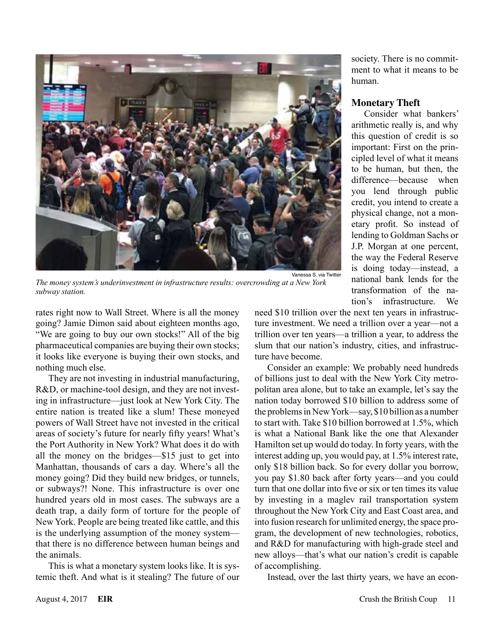

society. There is no commitment to what it means to be human.

### **Monetary Theft**

Consider what bankers' arithmetic really is, and why this question of credit is so important: First on the principled level of what it means to be human, but then, the difference—because when you lend through public credit, you intend to create a physical change, not a monetary profit. So instead of lending to Goldman Sachs or J.P. Morgan at one percent, the way the Federal Reserve is doing today—instead, a national bank lends for the transformation of the nation's infrastructure. We

*The money system's underinvestment in infrastructure results: overcrowding at a New York subway station.*

rates right now to Wall Street. Where is all the money going? Jamie Dimon said about eighteen months ago, "We are going to buy our own stocks!" All of the big pharmaceutical companies are buying their own stocks; it looks like everyone is buying their own stocks, and nothing much else.

They are not investing in industrial manufacturing, R&D, or machine-tool design, and they are not investing in infrastructure—just look at New York City. The entire nation is treated like a slum! These moneyed powers of Wall Street have not invested in the critical areas of society's future for nearly fifty years! What's the Port Authority in New York? What does it do with all the money on the bridges—\$15 just to get into Manhattan, thousands of cars a day. Where's all the money going? Did they build new bridges, or tunnels, or subways?! None. This infrastructure is over one hundred years old in most cases. The subways are a death trap, a daily form of torture for the people of New York. People are being treated like cattle, and this is the underlying assumption of the money system that there is no difference between human beings and the animals.

This is what a monetary system looks like. It is systemic theft. And what is it stealing? The future of our need \$10 trillion over the next ten years in infrastructure investment. We need a trillion over a year—not a trillion over ten years—a trillion a year, to address the slum that our nation's industry, cities, and infrastructure have become.

Consider an example: We probably need hundreds of billions just to deal with the New York City metropolitan area alone, but to take an example, let's say the nation today borrowed \$10 billion to address some of the problems in New York—say, \$10 billion as a number to start with. Take \$10 billion borrowed at 1.5%, which is what a National Bank like the one that Alexander Hamilton set up would do today. In forty years, with the interest adding up, you would pay, at 1.5% interest rate, only \$18 billion back. So for every dollar you borrow, you pay \$1.80 back after forty years—and you could turn that one dollar into five or six or ten times its value by investing in a maglev rail transportation system throughout the New York City and East Coast area, and into fusion research for unlimited energy, the space program, the development of new technologies, robotics, and R&D for manufacturing with high-grade steel and new alloys—that's what our nation's credit is capable of accomplishing.

Instead, over the last thirty years, we have an econ-